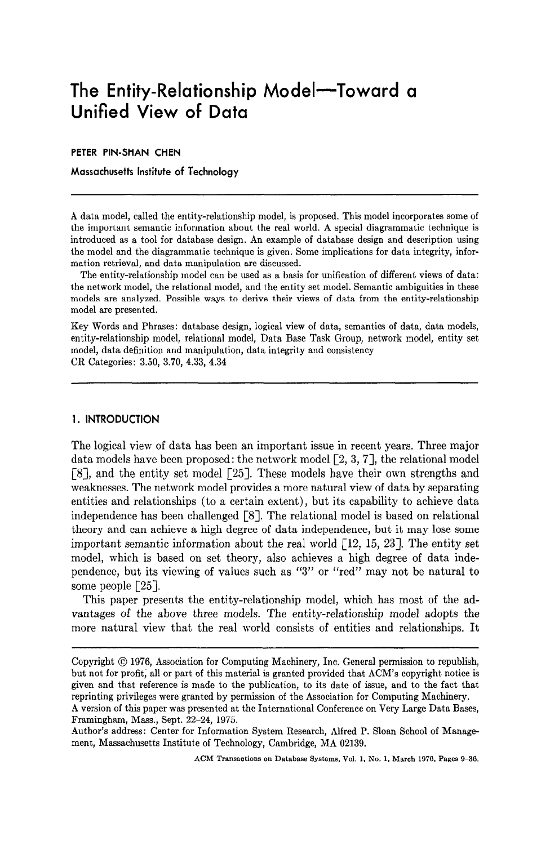## The Entity-Relationship Model-Toward a Unified View of Data

PETER PIN-SHAN CHEN

Massachusetts Institute of Technology

A data model, called the entity-relationship model, is proposed. This model incorporates some of the important semantic information about the real world. A special diagrammatic technique is introduced as a tool for database design. An example of database design and description using the model and the diagrammatic technique is given. Some implications for data integrity, information retrieval, and data manipulation are discussed.

The entity-relationship model can be used as a basis for unification of different views of data: the network model, the relational model, and the entity set model. Semantic ambiguities in these models are analyzed. Possible ways to derive their views of data from the entity-relationship model are presented.

Key Words and Phrases: database design, logical view of data, semantics of data, data models, entity-relationship model, relational model, Data Base Task Group, network model, entity set model, data definition and manipulation, data integrity and consistency CR Categories: 3.50, 3.70, 4.33, 4.34

1. INTRODUCTION

The logical view of data has been an important issue in recent years. Three major data models have been proposed: the network model  $[2, 3, 7]$ , the relational model [S), and the entity set model [25]. These models have their own strengths and weaknesses. The network model provides a more natural view of data by separating entities and relationships (to a certain extent), but its capability to achieve data independence has been challenged [S]. The relational model is based on relational theory and can achieve a high degree of data independence, but it may lose some important semantic information about the real world  $\lceil 12, 15, 23 \rceil$ . The entity set model, which is based on set theory, also achieves a high degree of data independence, but its viewing of values such as "3" or "red" may not be natural to some people [25].

This paper presents the entity-relationship model, which has most of the advantages of the above three models. The entity-relationship model adopts the more natural view that the real world consists of entities and relationships. It

Copyright @ 1976, Association for Computing Machinery, Inc. General permission to republish, but not for profit; all or part of this material is granted provided that ACM's copyright notice is given and that reference is made to the publication, to its date of issue, and to the fact that reprinting privileges were granted by permission of the Association for Computing Machinery.

ACM Transactions on Database Systems, Vol. 1, No. 1. March 1976, Pages 9-36.

A version of this paper was presented at the International Conference on Very Large Data Bases, Framingham, Mass., Sept. 22-24, 1975.

Author's address: Center for Information System Research, Alfred P. Sloan School of Management, Massachusetts Institute of Technology, Cambridge, MA 02139.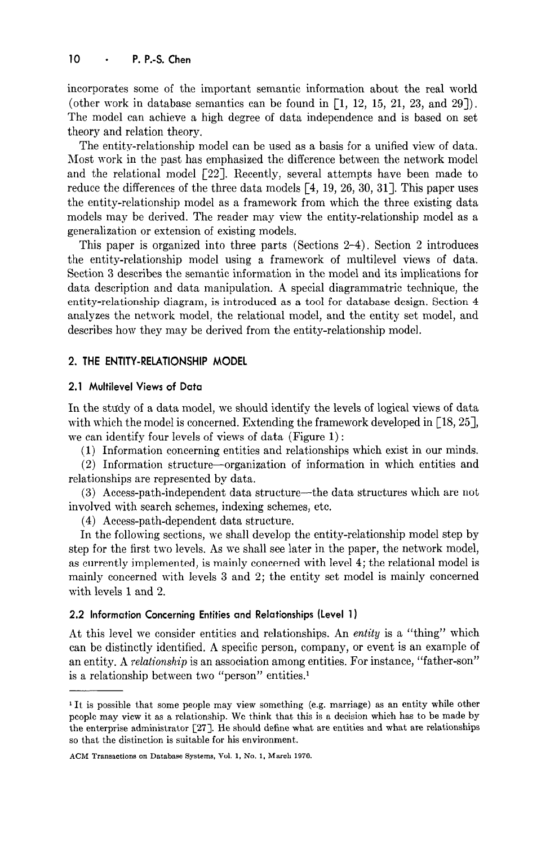incorporates some of the important semantic information about the real world (other work in database semantics can be found in  $\lceil 1, 12, 15, 21, 23, \text{ and } 29 \rceil$ ). The model can achieve a high degree of data independence and is based on set theory and relation theory,

The entity-relationship model can be used as a basis for a unified view of data. Most work in the past has emphasized the difference between the network model and the relational model [22]. Recently, several attempts have been made to reduce the differences of the three data models  $[4, 19, 26, 30, 31]$ . This paper uses the entity-relationship model as a framework from which the three existing data models may be derived. The reader may view the entity-relationship model as a generalization or extension of existing models.

This paper is organized into three parts (Sections 2-4). Section 2 introduces the entity-relationship model using a framework of multilevel views of data. Section 3 describes the semantic information in the model and its implications for data description and data manipulation. A special diagrammatric technique, the entity-relationship diagram, is introduced as a tool for database design. Section 4 analyzes the network model, the relational model, and the entity set model, and describes how they may be derived from the entity-relationship model.

## 2. THE ENTITY-RELATIONSHIP MODEL

## 2.1 Multilevel Views of Doto

In the study of a data model, we should identify the levels of logical views of data with which the model is concerned. Extending the framework developed in  $\lceil 18, 25 \rceil$ , we can identify four levels of views of data (Figure 1) :

 $(1)$  Information concerning entities and relationships which exist in our minds.

 $(2)$  Information structure-organization of information in which entities and relationships are represented by data.

(3) Access-path-independent data structure-the data structures which are not involved with search schemes, indexing schemes, etc.

(4) Access-path-dependent data structure.

In the following sections, we shall develop the entity-relationship model step by step for the first two levels. As we shall see later in the paper, the network model, as currently implemented, is mainly concerned with level 4; the relational model is mainly concerned with levels 3 and 2; the entity set model is mainly concerned with levels 1 and 2.

## 2.2 Information Concerning Entities and Relationships (Level 1)

At this level we consider entities and relationships. An entity is a "thing" which can be distinctly identified. A specific person, company, or event is an example of an entity. A relationship is an association among entities. For instance, "father-son" is a relationship between two "person" entities.<sup>1</sup>

It is possible that some people may view something (e.g. marriage) as an entity while other people may view it as a relationship. We think that this is a decision which has to be made by the enterprise administrator  $[27]$ . He should define what are entities and what are relationships so that the distinction is suitable for his environment.

ACM Transactions on Database Systems, Vol. 1, No. 1. March 1976.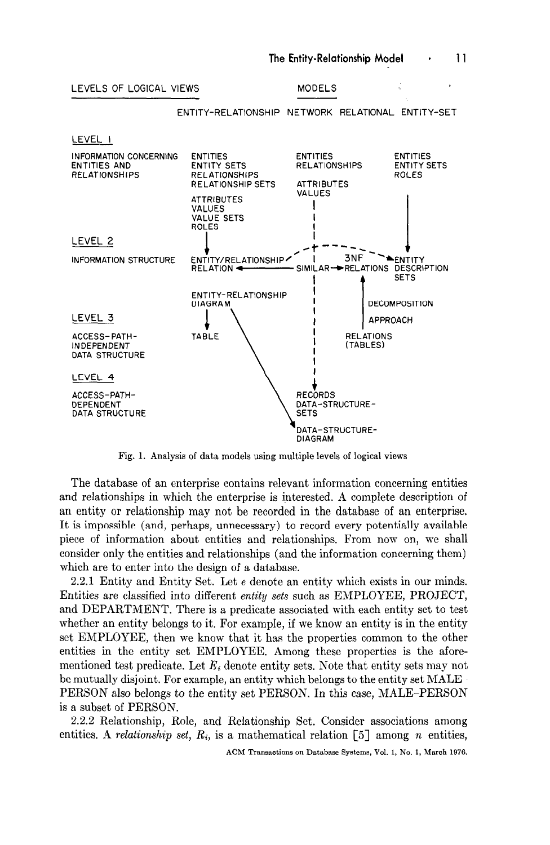

Fig. 1. Analysis of data models using multiple levels of logical views

The database of an enterprise contains relevant information concerning entities and relationships in which the enterprise is interested. A complete description of an entity or relationship may not be recorded in the database of an enterprise. It is impossible (and, perhaps, unnecessary) to record every potentially available piece of information about entities and relationships. From now on, we shall consider only the entities and relationships (and the information concerning them) which are to enter into the design of a database.

2.2.1 Entity and Entity Set. Let e denote an entity which exists in our minds. Entities are classified into different entity sets such as EMPLOYEE, PROJECT, and DEPARTMENT. There is a predicate associated with each entity set to test whether an entity belongs to it, For example, if we know an entity is in the entity set EMPLOYEE, then we know that it has the properties common to the other entities in the entity set EMPLOYEE. Among these properties is the aforementioned test predicate. Let  $E_i$  denote entity sets. Note that entity sets may not be mutually disjoint. For example, an entity which belongs to the entity set MALE-PERSON also belongs to the entity set PERSON. In this case, MALE-PERSON is a subset of PERSON.

2.2.2 Relationship, Role, and Relationship Set. Consider associations among entities. A *relationship set*,  $R_i$ , is a mathematical relation [5] among *n* entities,

ACM Transactions on Dstabase Systems, Vol. 1, No. 1, March 1976.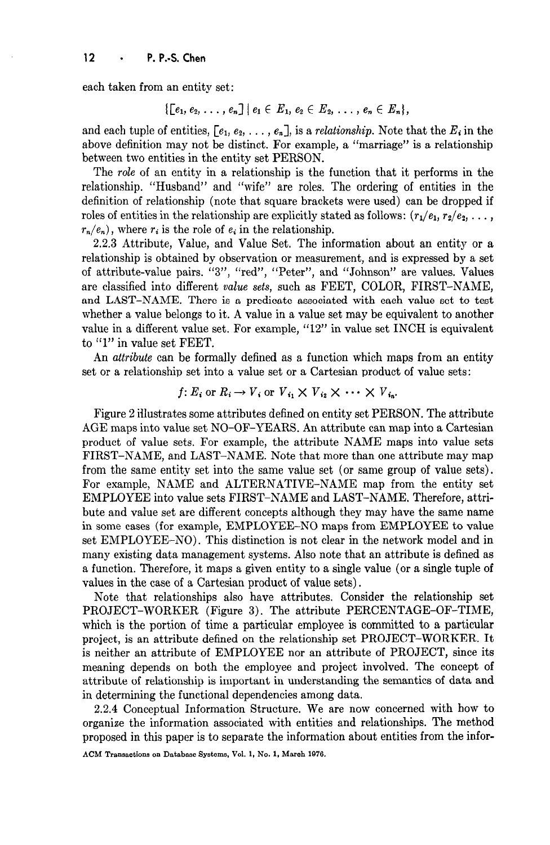each taken from an entity set:

$$
\{[e_1, e_2, \ldots, e_n] \mid e_1 \in E_1, e_2 \in E_2, \ldots, e_n \in E_n\},\
$$

and each tuple of entities,  $[e_1, e_2, \ldots, e_n]$ , is a *relationship*. Note that the  $E_i$  in the above definition may not be distinct. For example, a "marriage" is a relationship between two entities in the entity set PERSON.

The *role* of an entity in a relationship is the function that it performs in the relationship. "Husband" and "wife" are roles. The ordering of entities in the definition of relationship (note that square brackets were used) can be dropped if roles of entities in the relationship are explicitly stated as follows:  $(r_1/e_1, r_2/e_2, \ldots, r_k)e_2$  $r_n/e_n$ , where  $r_i$  is the role of  $e_i$  in the relationship.

2.2.3 Attribute, Value, and Value Set. The information about an entity or a relationship is obtained by observation or measurement, and is expressed by a set of attribute-value pairs. "3", "red", "Peter", and "Johnson" are values. Values are classified into different value sets, such as FEET, COLOR, FIRST-NAME, and LAST-NAME. There is a predicate associated with each value set to test whether a value belongs to it. A value in a value set may be equivalent to another value in a different value set. For example, "12" in value set INCH is equivalent to "1" in value set FEET.

An attribute can be formally defined as a function which maps from an entity set or a relationship set into a value set or a Cartesian product of value sets:

$$
f: E_i
$$
 or  $R_i \rightarrow V_i$  or  $V_{i_1} \times V_{i_2} \times \cdots \times V_{i_n}$ .

Figure 2 illustrates some attributes defined on entity set PERSON. The attribute AGE maps into value set NO-OF-YEARS. An attribute can map into a Cartesian product of value sets. For example, the attribute NAME maps into value sets FIRST-NAME, and LAST-NAME. Note that more than one attribute may map from the same entity set into the same value set (or same group of value sets). For example, NAME and ALTERNATIVE-NAME map from the entity set EMPLOYEE into value sets FIRST-NAME and LAST-NAME. Therefore, attribute and value set are different concepts although they may have the same name in some cases (for example, EMPLOYEE-NO maps from EMPLOYEE to value set EMPLOYEE-NO). This distinction is not clear in the network model and in many existing data management systems. Also note that an attribute is defined as a function. Therefore, it maps a given entity to a single value (or a single tuple of values in the case of a Cartesian product of value sets).

Note that relationships also have attributes. Consider the relationship set PROJECT-WORKER (Figure 3). The attribute PERCENTAGE-OF-TIME, which is the portion of time a particular employee is committed to a particular project, is an attribute defined on the relationship set PROJECT-WORKER. It is neither an attribute of EMPLOYEE nor an attribute of PROJECT, since its meaning depends on both the employee and project involved. The concept of attribute of relationship is important in understanding the semantics of data and in determining the functional dependencies among data.

2.2.4 Conceptual Information Structure. We are now concerned with how to organize the information associated with entities and relationships. The method proposed in this paper is to separate the information about entities from the infor-

ACM Tranaaotions on Database Systems. Vol. 1, No. 1, Marah 1076.